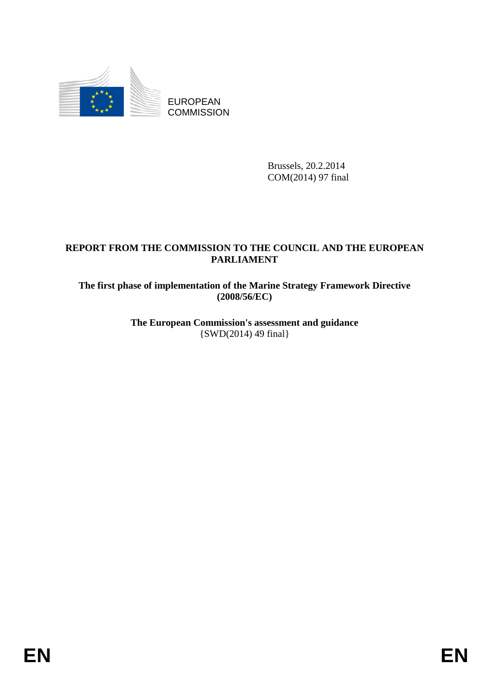

EUROPEAN **COMMISSION** 

> Brussels, 20.2.2014 COM(2014) 97 final

# **REPORT FROM THE COMMISSION TO THE COUNCIL AND THE EUROPEAN PARLIAMENT**

**The first phase of implementation of the Marine Strategy Framework Directive (2008/56/EC)** 

> **The European Commission's assessment and guidance**  {SWD(2014) 49 final}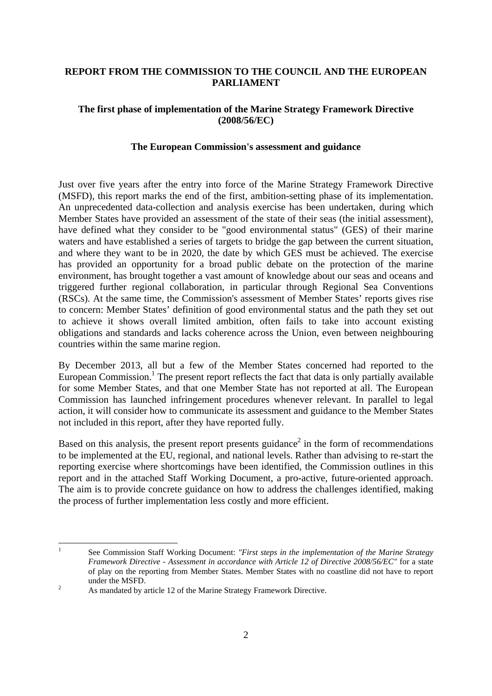### **REPORT FROM THE COMMISSION TO THE COUNCIL AND THE EUROPEAN PARLIAMENT**

### **The first phase of implementation of the Marine Strategy Framework Directive (2008/56/EC)**

#### **The European Commission's assessment and guidance**

Just over five years after the entry into force of the Marine Strategy Framework Directive (MSFD), this report marks the end of the first, ambition-setting phase of its implementation. An unprecedented data-collection and analysis exercise has been undertaken, during which Member States have provided an assessment of the state of their seas (the initial assessment), have defined what they consider to be "good environmental status" (GES) of their marine waters and have established a series of targets to bridge the gap between the current situation, and where they want to be in 2020, the date by which GES must be achieved. The exercise has provided an opportunity for a broad public debate on the protection of the marine environment, has brought together a vast amount of knowledge about our seas and oceans and triggered further regional collaboration, in particular through Regional Sea Conventions (RSCs). At the same time, the Commission's assessment of Member States' reports gives rise to concern: Member States' definition of good environmental status and the path they set out to achieve it shows overall limited ambition, often fails to take into account existing obligations and standards and lacks coherence across the Union, even between neighbouring countries within the same marine region.

By December 2013, all but a few of the Member States concerned had reported to the European Commission.<sup>1</sup> The present report reflects the fact that data is only partially available for some Member States, and that one Member State has not reported at all. The European Commission has launched infringement procedures whenever relevant. In parallel to legal action, it will consider how to communicate its assessment and guidance to the Member States not included in this report, after they have reported fully.

Based on this analysis, the present report presents guidance<sup>2</sup> in the form of recommendations to be implemented at the EU, regional, and national levels. Rather than advising to re-start the reporting exercise where shortcomings have been identified, the Commission outlines in this report and in the attached Staff Working Document, a pro-active, future-oriented approach. The aim is to provide concrete guidance on how to address the challenges identified, making the process of further implementation less costly and more efficient.

 $\frac{1}{1}$  See Commission Staff Working Document: *"First steps in the implementation of the Marine Strategy Framework Directive - Assessment in accordance with Article 12 of Directive 2008/56/EC"* for a state of play on the reporting from Member States. Member States with no coastline did not have to report under the MSFD.

As mandated by article 12 of the Marine Strategy Framework Directive.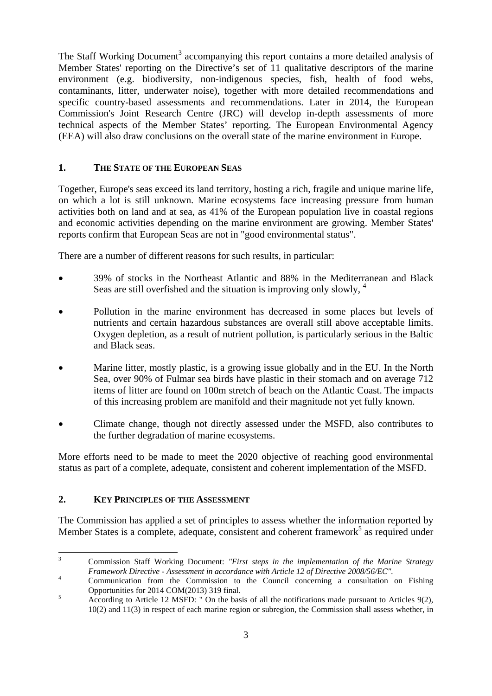The Staff Working Document<sup>3</sup> accompanying this report contains a more detailed analysis of Member States' reporting on the Directive's set of 11 qualitative descriptors of the marine environment (e.g. biodiversity, non-indigenous species, fish, health of food webs, contaminants, litter, underwater noise), together with more detailed recommendations and specific country-based assessments and recommendations. Later in 2014, the European Commission's Joint Research Centre (JRC) will develop in-depth assessments of more technical aspects of the Member States' reporting. The European Environmental Agency (EEA) will also draw conclusions on the overall state of the marine environment in Europe.

## **1. THE STATE OF THE EUROPEAN SEAS**

Together, Europe's seas exceed its land territory, hosting a rich, fragile and unique marine life, on which a lot is still unknown. Marine ecosystems face increasing pressure from human activities both on land and at sea, as 41% of the European population live in coastal regions and economic activities depending on the marine environment are growing. Member States' reports confirm that European Seas are not in "good environmental status".

There are a number of different reasons for such results, in particular:

- 39% of stocks in the Northeast Atlantic and 88% in the Mediterranean and Black Seas are still overfished and the situation is improving only slowly, <sup>4</sup>
- Pollution in the marine environment has decreased in some places but levels of nutrients and certain hazardous substances are overall still above acceptable limits. Oxygen depletion, as a result of nutrient pollution, is particularly serious in the Baltic and Black seas.
- Marine litter, mostly plastic, is a growing issue globally and in the EU. In the North Sea, over 90% of Fulmar sea birds have plastic in their stomach and on average 712 items of litter are found on 100m stretch of beach on the Atlantic Coast. The impacts of this increasing problem are manifold and their magnitude not yet fully known.
- Climate change, though not directly assessed under the MSFD, also contributes to the further degradation of marine ecosystems.

More efforts need to be made to meet the 2020 objective of reaching good environmental status as part of a complete, adequate, consistent and coherent implementation of the MSFD.

### **2. KEY PRINCIPLES OF THE ASSESSMENT**

The Commission has applied a set of principles to assess whether the information reported by Member States is a complete, adequate, consistent and coherent framework<sup>5</sup> as required under

 $\frac{1}{3}$  Commission Staff Working Document: *"First steps in the implementation of the Marine Strategy Framework Directive - Assessment in accordance with Article 12 of Directive 2008/56/EC".* <sup>4</sup>

Communication from the Commission to the Council concerning a consultation on Fishing Opportunities for 2014 COM(2013) 319 final. 5

According to Article 12 MSFD: " On the basis of all the notifications made pursuant to Articles 9(2), 10(2) and 11(3) in respect of each marine region or subregion, the Commission shall assess whether, in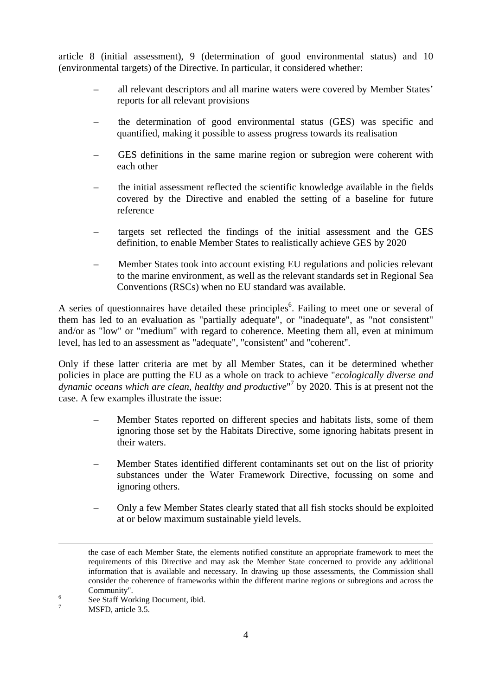article 8 (initial assessment), 9 (determination of good environmental status) and 10 (environmental targets) of the Directive. In particular, it considered whether:

- all relevant descriptors and all marine waters were covered by Member States' reports for all relevant provisions
- the determination of good environmental status (GES) was specific and quantified, making it possible to assess progress towards its realisation
- GES definitions in the same marine region or subregion were coherent with each other
- the initial assessment reflected the scientific knowledge available in the fields covered by the Directive and enabled the setting of a baseline for future reference
- targets set reflected the findings of the initial assessment and the GES definition, to enable Member States to realistically achieve GES by 2020
- Member States took into account existing EU regulations and policies relevant to the marine environment, as well as the relevant standards set in Regional Sea Conventions (RSCs) when no EU standard was available.

A series of questionnaires have detailed these principles<sup>6</sup>. Failing to meet one or several of them has led to an evaluation as "partially adequate", or "inadequate", as "not consistent" and/or as "low" or "medium" with regard to coherence. Meeting them all, even at minimum level, has led to an assessment as "adequate", ''consistent'' and ''coherent''.

Only if these latter criteria are met by all Member States, can it be determined whether policies in place are putting the EU as a whole on track to achieve "*ecologically diverse and*  dynamic oceans which are clean, healthy and productive<sup>"</sup> by 2020. This is at present not the case. A few examples illustrate the issue:

- Member States reported on different species and habitats lists, some of them ignoring those set by the Habitats Directive, some ignoring habitats present in their waters.
- Member States identified different contaminants set out on the list of priority substances under the Water Framework Directive, focussing on some and ignoring others.
- Only a few Member States clearly stated that all fish stocks should be exploited at or below maximum sustainable yield levels.

the case of each Member State, the elements notified constitute an appropriate framework to meet the requirements of this Directive and may ask the Member State concerned to provide any additional information that is available and necessary. In drawing up those assessments, the Commission shall consider the coherence of frameworks within the different marine regions or subregions and across the Community". 6

See Staff Working Document, ibid.

<sup>7</sup> MSFD, article 3.5.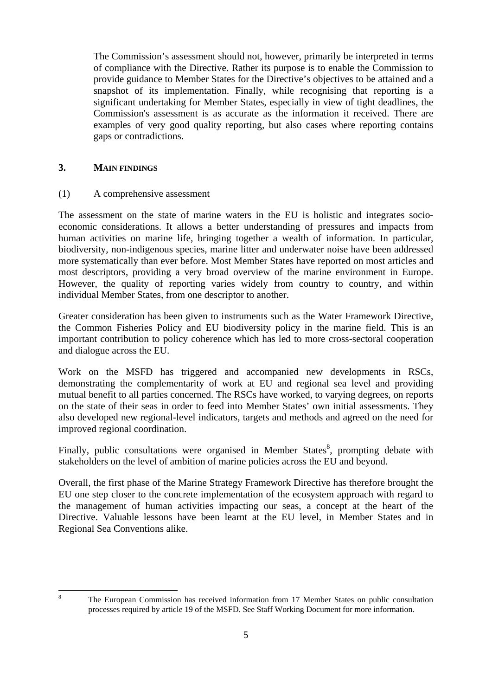The Commission's assessment should not, however, primarily be interpreted in terms of compliance with the Directive. Rather its purpose is to enable the Commission to provide guidance to Member States for the Directive's objectives to be attained and a snapshot of its implementation. Finally, while recognising that reporting is a significant undertaking for Member States, especially in view of tight deadlines, the Commission's assessment is as accurate as the information it received. There are examples of very good quality reporting, but also cases where reporting contains gaps or contradictions.

### **3. MAIN FINDINGS**

#### (1) A comprehensive assessment

The assessment on the state of marine waters in the EU is holistic and integrates socioeconomic considerations. It allows a better understanding of pressures and impacts from human activities on marine life, bringing together a wealth of information. In particular, biodiversity, non-indigenous species, marine litter and underwater noise have been addressed more systematically than ever before. Most Member States have reported on most articles and most descriptors, providing a very broad overview of the marine environment in Europe. However, the quality of reporting varies widely from country to country, and within individual Member States, from one descriptor to another.

Greater consideration has been given to instruments such as the Water Framework Directive, the Common Fisheries Policy and EU biodiversity policy in the marine field. This is an important contribution to policy coherence which has led to more cross-sectoral cooperation and dialogue across the EU.

Work on the MSFD has triggered and accompanied new developments in RSCs, demonstrating the complementarity of work at EU and regional sea level and providing mutual benefit to all parties concerned. The RSCs have worked, to varying degrees, on reports on the state of their seas in order to feed into Member States' own initial assessments. They also developed new regional-level indicators, targets and methods and agreed on the need for improved regional coordination.

Finally, public consultations were organised in Member States<sup>8</sup>, prompting debate with stakeholders on the level of ambition of marine policies across the EU and beyond.

Overall, the first phase of the Marine Strategy Framework Directive has therefore brought the EU one step closer to the concrete implementation of the ecosystem approach with regard to the management of human activities impacting our seas, a concept at the heart of the Directive. Valuable lessons have been learnt at the EU level, in Member States and in Regional Sea Conventions alike.

 $\frac{1}{8}$ 

The European Commission has received information from 17 Member States on public consultation processes required by article 19 of the MSFD. See Staff Working Document for more information.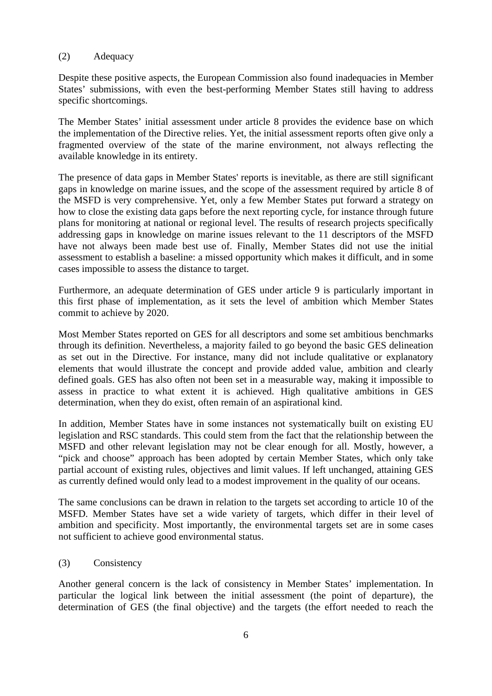#### (2) Adequacy

Despite these positive aspects, the European Commission also found inadequacies in Member States' submissions, with even the best-performing Member States still having to address specific shortcomings.

The Member States' initial assessment under article 8 provides the evidence base on which the implementation of the Directive relies. Yet, the initial assessment reports often give only a fragmented overview of the state of the marine environment, not always reflecting the available knowledge in its entirety.

The presence of data gaps in Member States' reports is inevitable, as there are still significant gaps in knowledge on marine issues, and the scope of the assessment required by article 8 of the MSFD is very comprehensive. Yet, only a few Member States put forward a strategy on how to close the existing data gaps before the next reporting cycle, for instance through future plans for monitoring at national or regional level. The results of research projects specifically addressing gaps in knowledge on marine issues relevant to the 11 descriptors of the MSFD have not always been made best use of. Finally, Member States did not use the initial assessment to establish a baseline: a missed opportunity which makes it difficult, and in some cases impossible to assess the distance to target.

Furthermore, an adequate determination of GES under article 9 is particularly important in this first phase of implementation, as it sets the level of ambition which Member States commit to achieve by 2020.

Most Member States reported on GES for all descriptors and some set ambitious benchmarks through its definition. Nevertheless, a majority failed to go beyond the basic GES delineation as set out in the Directive. For instance, many did not include qualitative or explanatory elements that would illustrate the concept and provide added value, ambition and clearly defined goals. GES has also often not been set in a measurable way, making it impossible to assess in practice to what extent it is achieved. High qualitative ambitions in GES determination, when they do exist, often remain of an aspirational kind.

In addition, Member States have in some instances not systematically built on existing EU legislation and RSC standards. This could stem from the fact that the relationship between the MSFD and other relevant legislation may not be clear enough for all. Mostly, however, a "pick and choose" approach has been adopted by certain Member States, which only take partial account of existing rules, objectives and limit values. If left unchanged, attaining GES as currently defined would only lead to a modest improvement in the quality of our oceans.

The same conclusions can be drawn in relation to the targets set according to article 10 of the MSFD. Member States have set a wide variety of targets, which differ in their level of ambition and specificity. Most importantly, the environmental targets set are in some cases not sufficient to achieve good environmental status.

#### (3) Consistency

Another general concern is the lack of consistency in Member States' implementation. In particular the logical link between the initial assessment (the point of departure), the determination of GES (the final objective) and the targets (the effort needed to reach the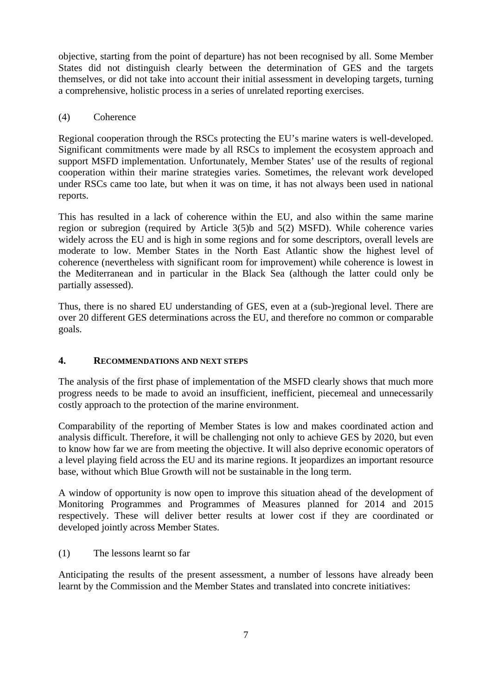objective, starting from the point of departure) has not been recognised by all. Some Member States did not distinguish clearly between the determination of GES and the targets themselves, or did not take into account their initial assessment in developing targets, turning a comprehensive, holistic process in a series of unrelated reporting exercises.

### (4) Coherence

Regional cooperation through the RSCs protecting the EU's marine waters is well-developed. Significant commitments were made by all RSCs to implement the ecosystem approach and support MSFD implementation. Unfortunately, Member States' use of the results of regional cooperation within their marine strategies varies. Sometimes, the relevant work developed under RSCs came too late, but when it was on time, it has not always been used in national reports.

This has resulted in a lack of coherence within the EU, and also within the same marine region or subregion (required by Article 3(5)b and 5(2) MSFD). While coherence varies widely across the EU and is high in some regions and for some descriptors, overall levels are moderate to low. Member States in the North East Atlantic show the highest level of coherence (nevertheless with significant room for improvement) while coherence is lowest in the Mediterranean and in particular in the Black Sea (although the latter could only be partially assessed).

Thus, there is no shared EU understanding of GES, even at a (sub-)regional level. There are over 20 different GES determinations across the EU, and therefore no common or comparable goals.

### **4. RECOMMENDATIONS AND NEXT STEPS**

The analysis of the first phase of implementation of the MSFD clearly shows that much more progress needs to be made to avoid an insufficient, inefficient, piecemeal and unnecessarily costly approach to the protection of the marine environment.

Comparability of the reporting of Member States is low and makes coordinated action and analysis difficult. Therefore, it will be challenging not only to achieve GES by 2020, but even to know how far we are from meeting the objective. It will also deprive economic operators of a level playing field across the EU and its marine regions. It jeopardizes an important resource base, without which Blue Growth will not be sustainable in the long term.

A window of opportunity is now open to improve this situation ahead of the development of Monitoring Programmes and Programmes of Measures planned for 2014 and 2015 respectively. These will deliver better results at lower cost if they are coordinated or developed jointly across Member States.

(1) The lessons learnt so far

Anticipating the results of the present assessment, a number of lessons have already been learnt by the Commission and the Member States and translated into concrete initiatives: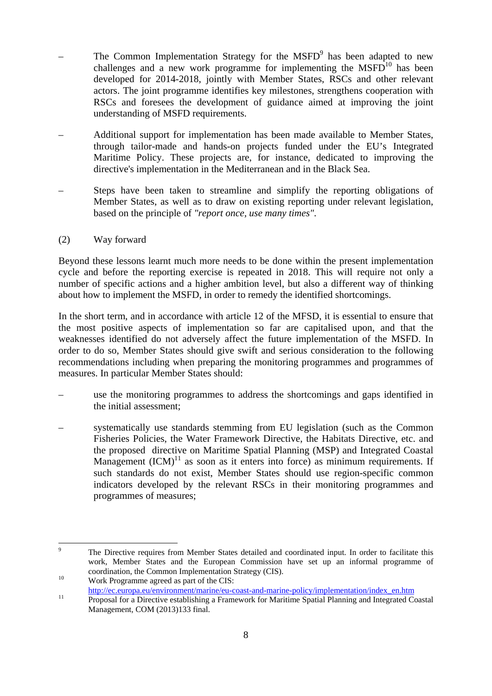- $-$  The Common Implementation Strategy for the MSFD<sup>9</sup> has been adapted to new challenges and a new work programme for implementing the  $MSPD<sup>10</sup>$  has been developed for 2014-2018, jointly with Member States, RSCs and other relevant actors. The joint programme identifies key milestones, strengthens cooperation with RSCs and foresees the development of guidance aimed at improving the joint understanding of MSFD requirements.
- Additional support for implementation has been made available to Member States, through tailor-made and hands-on projects funded under the EU's Integrated Maritime Policy. These projects are, for instance, dedicated to improving the directive's implementation in the Mediterranean and in the Black Sea.
- Steps have been taken to streamline and simplify the reporting obligations of Member States, as well as to draw on existing reporting under relevant legislation, based on the principle of *"report once, use many times"*.

### (2) Way forward

Beyond these lessons learnt much more needs to be done within the present implementation cycle and before the reporting exercise is repeated in 2018. This will require not only a number of specific actions and a higher ambition level, but also a different way of thinking about how to implement the MSFD, in order to remedy the identified shortcomings.

In the short term, and in accordance with article 12 of the MFSD, it is essential to ensure that the most positive aspects of implementation so far are capitalised upon, and that the weaknesses identified do not adversely affect the future implementation of the MSFD. In order to do so, Member States should give swift and serious consideration to the following recommendations including when preparing the monitoring programmes and programmes of measures. In particular Member States should:

- use the monitoring programmes to address the shortcomings and gaps identified in the initial assessment;
- systematically use standards stemming from EU legislation (such as the Common Fisheries Policies, the Water Framework Directive, the Habitats Directive, etc. and the proposed directive on Maritime Spatial Planning (MSP) and Integrated Coastal Management  $(ICM)^{11}$  as soon as it enters into force) as minimum requirements. If such standards do not exist, Member States should use region-specific common indicators developed by the relevant RSCs in their monitoring programmes and programmes of measures;

<sup>-&</sup>lt;br>9 The Directive requires from Member States detailed and coordinated input. In order to facilitate this work, Member States and the European Commission have set up an informal programme of coordination, the Common Implementation Strategy (CIS).<br><sup>10</sup> Work Programme agreed as part of the CIS:

[http://ec.europa.eu/environment/marine/eu-coast-and-marine-policy/implementation/index](http://ec.europa.eu/environment/marine/eu-coast-and-marine-policy/implementation/index_en.htm)\_en.htm<br> [Proposal for a Directive establishing a Framework for Maritime Spatial Planning and Integ](http://ec.europa.eu/environment/marine/eu-coast-and-marine-policy/implementation/index_en.htm)rated Coastal Management, COM (2013)133 final.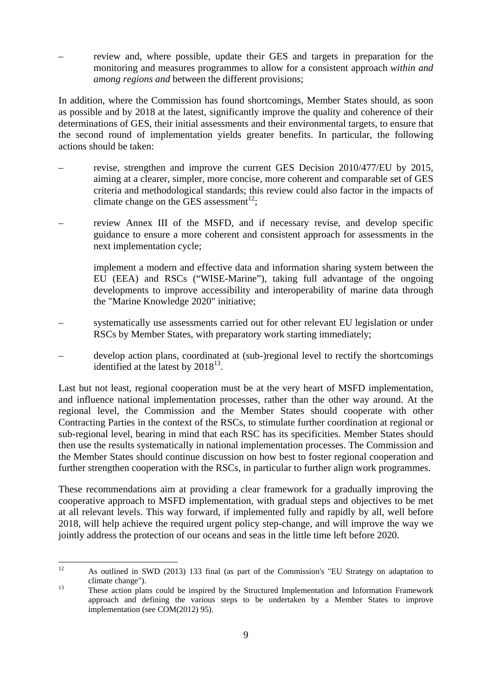– review and, where possible, update their GES and targets in preparation for the monitoring and measures programmes to allow for a consistent approach *within and among regions and* between the different provisions;

In addition, where the Commission has found shortcomings, Member States should, as soon as possible and by 2018 at the latest, significantly improve the quality and coherence of their determinations of GES, their initial assessments and their environmental targets, to ensure that the second round of implementation yields greater benefits. In particular, the following actions should be taken:

- revise, strengthen and improve the current GES Decision 2010/477/EU by 2015, aiming at a clearer, simpler, more concise, more coherent and comparable set of GES criteria and methodological standards; this review could also factor in the impacts of climate change on the GES assessment<sup>12</sup>;
- review Annex III of the MSFD, and if necessary revise, and develop specific guidance to ensure a more coherent and consistent approach for assessments in the next implementation cycle;

implement a modern and effective data and information sharing system between the EU (EEA) and RSCs ("WISE-Marine"), taking full advantage of the ongoing developments to improve accessibility and interoperability of marine data through the "Marine Knowledge 2020" initiative;

- systematically use assessments carried out for other relevant EU legislation or under RSCs by Member States, with preparatory work starting immediately;
- develop action plans, coordinated at (sub-)regional level to rectify the shortcomings identified at the latest by  $2018^{13}$ .

Last but not least, regional cooperation must be at the very heart of MSFD implementation, and influence national implementation processes, rather than the other way around. At the regional level, the Commission and the Member States should cooperate with other Contracting Parties in the context of the RSCs, to stimulate further coordination at regional or sub-regional level, bearing in mind that each RSC has its specificities. Member States should then use the results systematically in national implementation processes. The Commission and the Member States should continue discussion on how best to foster regional cooperation and further strengthen cooperation with the RSCs, in particular to further align work programmes.

These recommendations aim at providing a clear framework for a gradually improving the cooperative approach to MSFD implementation, with gradual steps and objectives to be met at all relevant levels. This way forward, if implemented fully and rapidly by all, well before 2018, will help achieve the required urgent policy step-change, and will improve the way we jointly address the protection of our oceans and seas in the little time left before 2020.

 $12$ 12 As outlined in SWD (2013) 133 final (as part of the Commission's "EU Strategy on adaptation to climate change"). 13 These action plans could be inspired by the Structured Implementation and Information Framework

approach and defining the various steps to be undertaken by a Member States to improve implementation (see COM(2012) 95).